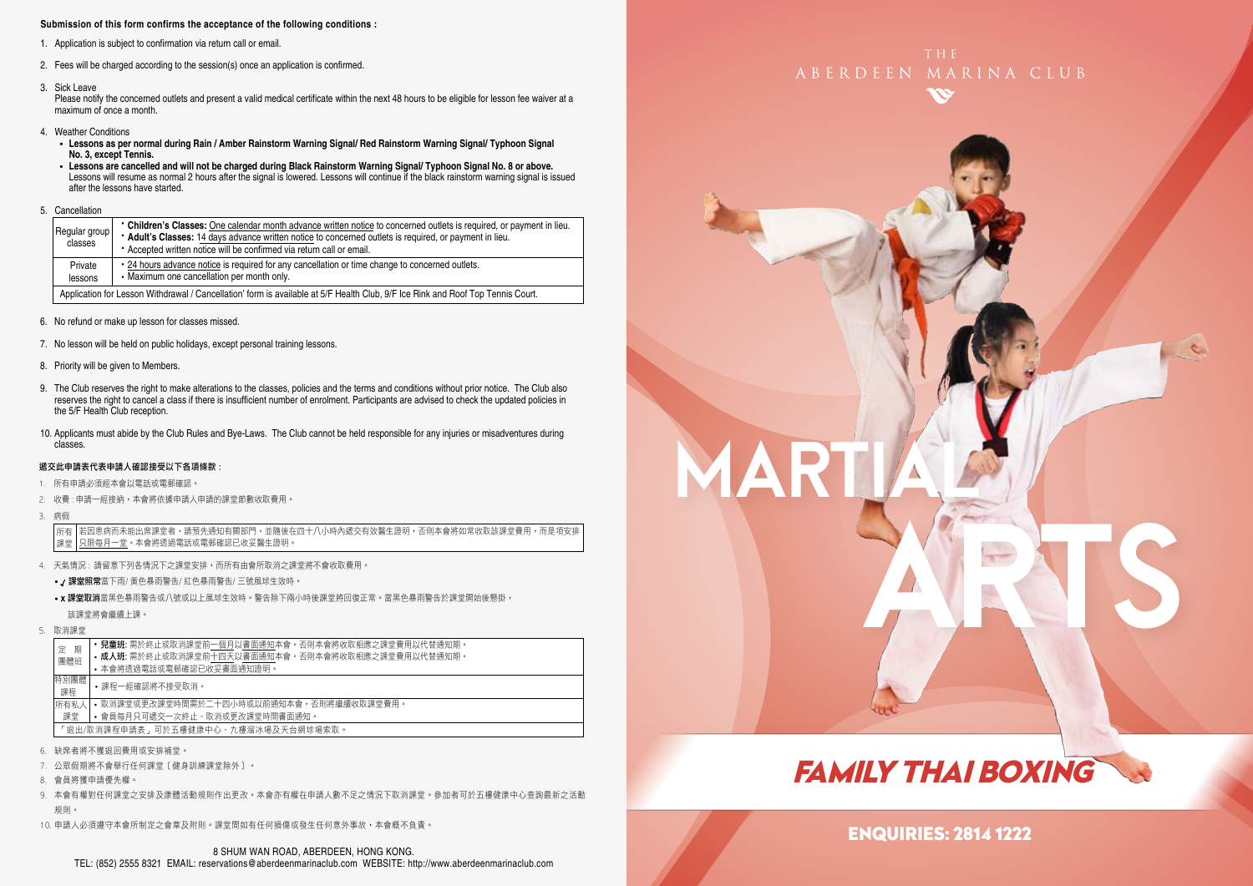#### **Submission of this form confirms the acceptance of the following conditions :**

- 1. Application is subject to confirmation via return call or email.
- 2. Fees will be charged according to the session(s) once an application is confirmed.
- 3. Sick Leave

Please notify the concerned outlets and present a valid medical certificate within the next 48 hours to be eligible for lesson fee waiver at a maximum of once a month.

- 4. Weather Conditions
	- **Lessons as per normal during Rain / Amber Rainstorm Warning Signal/ Red Rainstorm Warning Signal/ Typhoon Signal No. 3, except Tennis.**
- Lessons are cancelled and will not be charged during Black Rainstorm Warning Signal/ Typhoon Signal No. 8 or above.<br>Lessons will resume as normal 2 hours after the signal is lowered. Lessons will continue if the black ra after the lessons have started.
- 5. Cancellation

|  | Regular group<br>classes | • Children's Classes: One calendar month advance written notice to concerned outlets is required, or payment in lieu.<br>* Adult's Classes: 14 days advance written notice to concerned outlets is required, or payment in lieu.<br>* Accepted written notice will be confirmed via return call or email. |  |  |  |  |  |
|--|--------------------------|-----------------------------------------------------------------------------------------------------------------------------------------------------------------------------------------------------------------------------------------------------------------------------------------------------------|--|--|--|--|--|
|  | Private<br>lessons       | . 24 hours advance notice is required for any cancellation or time change to concerned outlets.<br>• Maximum one cancellation per month only.                                                                                                                                                             |  |  |  |  |  |
|  |                          | Application for Lesson Withdrawal / Cancellation' form is available at 5/F Health Club, 9/F Ice Rink and Roof Top Tennis Court.                                                                                                                                                                           |  |  |  |  |  |

- 6. No refund or make up lesson for classes missed.
- 7. No lesson will be held on public holidays, except personal training lessons.
- 8. Priority will be given to Members.
- 9. The Club reserves the right to make alterations to the classes, policies and the terms and conditions without prior notice. The Club also reserves the right to cancel a class if there is insufficient number of enrolment. Participants are advised to check the updated policies in the 5/F Health Club reception.
- 10. Applicants must abide by the Club Rules and Bye-Laws. The Club cannot be held responsible for any injuries or misadventures during classes.

#### 遞交此申請表代表申請人確認接受以下各項條款 :

- 1. 所有申請必須經本會以電話或電郵確認。
- 2. 收費 : 申請一經接納,本會將依據申請人申請的課堂節數收取費用。
- 3. 病假

若因患病而未能出席課堂者,請預先通知有關部門,並隨後在四十八小時內遞交有效醫生證明,否則本會將如常收取該課堂費用,而是項安排 只限每月一堂。本會將透過電話或電郵確認已收妥醫生證明。 所有 課堂

- 4. 天氣情況 : 請留意下列各情況下之課堂安排,而所有由會所取消之課堂將不會收取費用。
	- / 課堂照常當下雨/ 黃色暴雨警告/ 紅色暴雨警告/ 三號風球生效時。
	- x 課堂取消當黑色暴雨警告或八號或以上風球生效時。警告除下兩小時後課堂將回復正常。當黑色暴雨警告於課堂開始後懸掛, 該課堂將會繼續上課。
- 5. 取消課堂

| 期                                   | • 兒童班: 需於終止或取消課堂前一個月以書面通知本會。否則本會將收取相應之課堂費用以代替通知期。 |  |  |  |  |
|-------------------------------------|---------------------------------------------------|--|--|--|--|
| 定                                   | • 成人班: 需於終止或取消課堂前十四天以書面通知本會。否則本會將收取相應之課堂費用以代替通知期。 |  |  |  |  |
| 團體班                                 | • 本會將诱過電話或電郵確認已收妥書面通知證明。                          |  |  |  |  |
| 特別團體<br>課程                          | •課程一經確認將不接受取消。                                    |  |  |  |  |
| 所有私人                                | • 取消課堂或更改課堂時間需於二十四小時或以前通知本會,否則將繼續收取課堂費用。          |  |  |  |  |
| 課堂                                  | • 會員每月只可遞交一次終止、取消或更改課堂時間書面通知。                     |  |  |  |  |
| 「狠出/取消課程申請表,可於五樓健康中心、九樓溜冰場及天台網球場索取。 |                                                   |  |  |  |  |

- 6. 缺席者將不獲退回費用或安排補堂。
- 7. 公眾假期將不會舉行任何課堂﹝健身訓練課堂除外﹞。
- 8. 會員將獲申請優先權。
- 9. 本會有權對任何課堂之安排及康體活動規則作出更改。本會亦有權在申請人數不足之情況下取消課堂。參加者可於五樓健康中心查詢最新之活動 規則。
- 10. 申請人必須遵守本會所制定之會章及附則。課堂間如有任何損傷或發生任何意外事故,本會概不負責。





# FAMILY THAI BOXING

### ENQUIRIES: 2814 1222